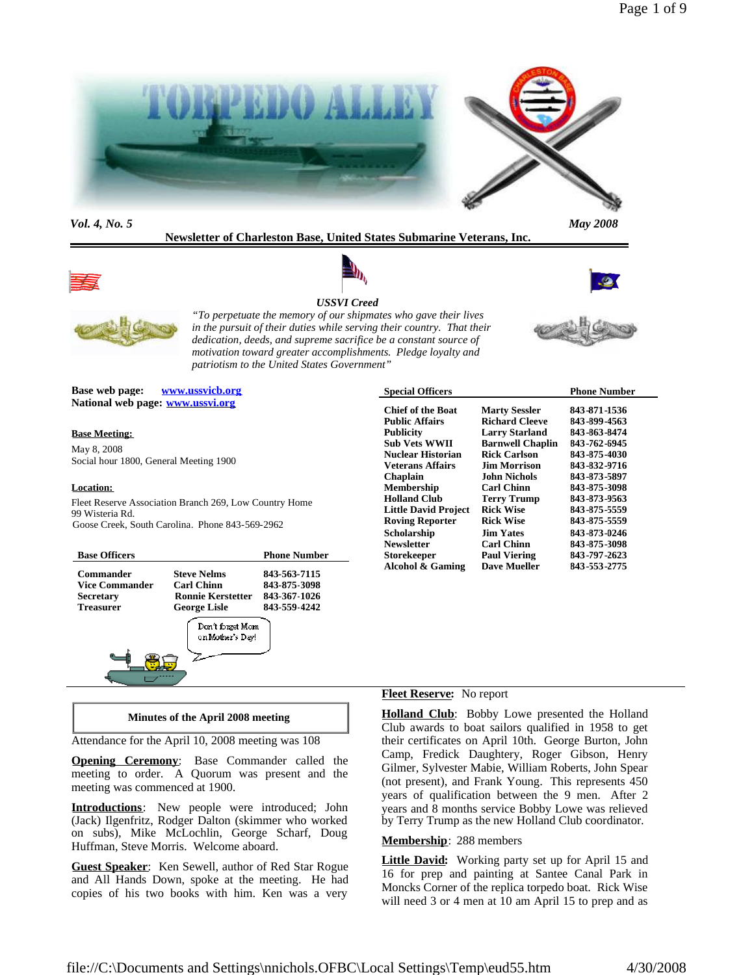

*Vol. 4, No. 5 May 2008*

**Newsletter of Charleston Base, United States Submarine Veterans, Inc.**



# *USSVI Creed*



*"To perpetuate the memory of our shipmates who gave their lives in the pursuit of their duties while serving their country. That their dedication, deeds, and supreme sacrifice be a constant source of motivation toward greater accomplishments. Pledge loyalty and patriotism to the United States Government"*



**Base web page: www.ussvicb.org National web page: www.ussvi.org**

### **Base Meeting:**

May 8, 2008 Social hour 1800, General Meeting 1900

### **Location:**

Fleet Reserve Association Branch 269, Low Country Home 99 Wisteria Rd. Goose Creek, South Carolina. Phone 843-569-2962

| <b>Base Officers</b>                                                |                                                                                            | <b>Phone Number</b>                                          |
|---------------------------------------------------------------------|--------------------------------------------------------------------------------------------|--------------------------------------------------------------|
| Commander<br>Vice Commander<br><b>Secretary</b><br><b>Treasurer</b> | <b>Steve Nelms</b><br><b>Carl Chinn</b><br><b>Ronnie Kerstetter</b><br><b>George Lisle</b> | 843-563-7115<br>843-875-3098<br>843-367-1026<br>843-559-4242 |
|                                                                     | Don't forget Morn<br>on Mother's Day!                                                      |                                                              |

| <b>Special Officers</b>     |                         | <b>Phone Number</b> |
|-----------------------------|-------------------------|---------------------|
| <b>Chief of the Boat</b>    | <b>Marty Sessler</b>    | 843-871-1536        |
| <b>Public Affairs</b>       | <b>Richard Cleeve</b>   | 843-899-4563        |
| <b>Publicity</b>            | <b>Larry Starland</b>   | 843-863-8474        |
| <b>Sub Vets WWII</b>        | <b>Barnwell Chaplin</b> | 843-762-6945        |
| Nuclear Historian           | <b>Rick Carlson</b>     | 843-875-4030        |
| <b>Veterans Affairs</b>     | <b>Iim Morrison</b>     | 843-832-9716        |
| <b>Chaplain</b>             | <b>John Nichols</b>     | 843-873-5897        |
| <b>Membership</b>           | <b>Carl Chinn</b>       | 843-875-3098        |
| <b>Holland Club</b>         | <b>Terry Trump</b>      | 843-873-9563        |
| <b>Little David Project</b> | <b>Rick Wise</b>        | 843-875-5559        |
| <b>Roving Reporter</b>      | Rick Wise               | 843-875-5559        |
| Scholarship                 | <b>Iim Yates</b>        | 843-873-0246        |
| <b>Newsletter</b>           | <b>Carl Chinn</b>       | 843-875-3098        |
| <b>Storekeeper</b>          | <b>Paul Viering</b>     | 843-797-2623        |
| Alcohol & Gaming            | <b>Dave Mueller</b>     | 843-553-2775        |

### **Fleet Reserve:** No report

**Holland Club**: Bobby Lowe presented the Holland Club awards to boat sailors qualified in 1958 to get their certificates on April 10th. George Burton, John Camp, Fredick Daughtery, Roger Gibson, Henry Gilmer, Sylvester Mabie, William Roberts, John Spear (not present), and Frank Young. This represents 450 years of qualification between the 9 men. After 2 years and 8 months service Bobby Lowe was relieved by Terry Trump as the new Holland Club coordinator.

#### **Membership**: 288 members

**Little David:** Working party set up for April 15 and 16 for prep and painting at Santee Canal Park in Moncks Corner of the replica torpedo boat. Rick Wise will need 3 or 4 men at 10 am April 15 to prep and as

### **Minutes of the April 2008 meeting**

Attendance for the April 10, 2008 meeting was 108

**Opening Ceremony**: Base Commander called the meeting to order. A Quorum was present and the meeting was commenced at 1900.

**Introductions**: New people were introduced; John (Jack) Ilgenfritz, Rodger Dalton (skimmer who worked on subs), Mike McLochlin, George Scharf, Doug Huffman, Steve Morris. Welcome aboard.

**Guest Speaker**: Ken Sewell, author of Red Star Rogue and All Hands Down, spoke at the meeting. He had copies of his two books with him. Ken was a very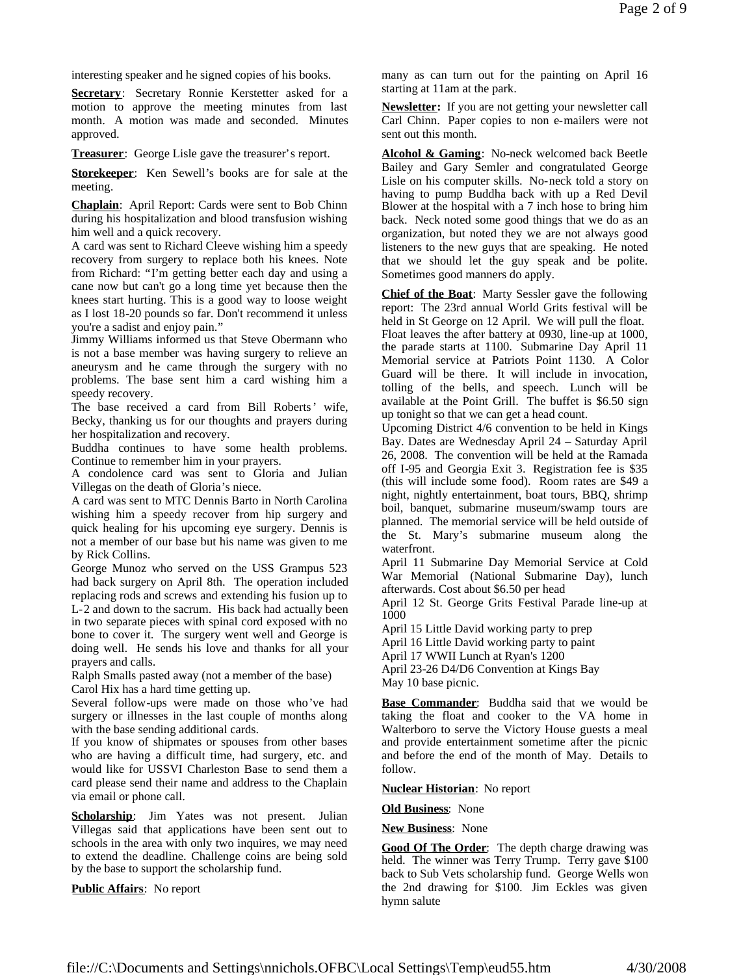interesting speaker and he signed copies of his books.

**Secretary**: Secretary Ronnie Kerstetter asked for a motion to approve the meeting minutes from last month. A motion was made and seconded. Minutes approved.

**Treasurer**: George Lisle gave the treasurer's report.

**Storekeeper**: Ken Sewell's books are for sale at the meeting.

**Chaplain**: April Report: Cards were sent to Bob Chinn during his hospitalization and blood transfusion wishing him well and a quick recovery.

A card was sent to Richard Cleeve wishing him a speedy recovery from surgery to replace both his knees. Note from Richard: "I'm getting better each day and using a cane now but can't go a long time yet because then the knees start hurting. This is a good way to loose weight as I lost 18-20 pounds so far. Don't recommend it unless you're a sadist and enjoy pain."

Jimmy Williams informed us that Steve Obermann who is not a base member was having surgery to relieve an aneurysm and he came through the surgery with no problems. The base sent him a card wishing him a speedy recovery.

The base received a card from Bill Roberts' wife, Becky, thanking us for our thoughts and prayers during her hospitalization and recovery.

Buddha continues to have some health problems. Continue to remember him in your prayers.

A condolence card was sent to Gloria and Julian Villegas on the death of Gloria's niece.

A card was sent to MTC Dennis Barto in North Carolina wishing him a speedy recover from hip surgery and quick healing for his upcoming eye surgery. Dennis is not a member of our base but his name was given to me by Rick Collins.

George Munoz who served on the USS Grampus 523 had back surgery on April 8th. The operation included replacing rods and screws and extending his fusion up to L-2 and down to the sacrum. His back had actually been in two separate pieces with spinal cord exposed with no bone to cover it. The surgery went well and George is doing well. He sends his love and thanks for all your prayers and calls.

Ralph Smalls pasted away (not a member of the base) Carol Hix has a hard time getting up.

Several follow-ups were made on those who've had surgery or illnesses in the last couple of months along with the base sending additional cards.

If you know of shipmates or spouses from other bases who are having a difficult time, had surgery, etc. and would like for USSVI Charleston Base to send them a card please send their name and address to the Chaplain via email or phone call.

**Scholarship**: Jim Yates was not present. Julian Villegas said that applications have been sent out to schools in the area with only two inquires, we may need to extend the deadline. Challenge coins are being sold by the base to support the scholarship fund.

**Public Affairs**: No report

many as can turn out for the painting on April 16 starting at 11am at the park.

**Newsletter:** If you are not getting your newsletter call Carl Chinn. Paper copies to non e-mailers were not sent out this month.

**Alcohol & Gaming**: No-neck welcomed back Beetle Bailey and Gary Semler and congratulated George Lisle on his computer skills. No-neck told a story on having to pump Buddha back with up a Red Devil Blower at the hospital with a 7 inch hose to bring him back. Neck noted some good things that we do as an organization, but noted they we are not always good listeners to the new guys that are speaking. He noted that we should let the guy speak and be polite. Sometimes good manners do apply.

**Chief of the Boat**: Marty Sessler gave the following report: The 23rd annual World Grits festival will be held in St George on 12 April. We will pull the float. Float leaves the after battery at 0930, line-up at 1000, the parade starts at 1100. Submarine Day April 11 Memorial service at Patriots Point 1130. A Color Guard will be there. It will include in invocation, tolling of the bells, and speech. Lunch will be available at the Point Grill. The buffet is \$6.50 sign up tonight so that we can get a head count.

Upcoming District 4/6 convention to be held in Kings Bay. Dates are Wednesday April 24 – Saturday April 26, 2008. The convention will be held at the Ramada off I-95 and Georgia Exit 3. Registration fee is \$35 (this will include some food). Room rates are \$49 a night, nightly entertainment, boat tours, BBQ, shrimp boil, banquet, submarine museum/swamp tours are planned. The memorial service will be held outside of the St. Mary's submarine museum along the waterfront.

April 11 Submarine Day Memorial Service at Cold War Memorial (National Submarine Day), lunch afterwards. Cost about \$6.50 per head

April 12 St. George Grits Festival Parade line-up at 1000

April 15 Little David working party to prep

April 16 Little David working party to paint

April 17 WWII Lunch at Ryan's 1200

April 23-26 D4/D6 Convention at Kings Bay May 10 base picnic.

**Base Commander**: Buddha said that we would be taking the float and cooker to the VA home in Walterboro to serve the Victory House guests a meal and provide entertainment sometime after the picnic and before the end of the month of May. Details to follow.

**Nuclear Historian**: No report

**Old Business**: None

**New Business**: None

**Good Of The Order**: The depth charge drawing was held. The winner was Terry Trump. Terry gave \$100 back to Sub Vets scholarship fund. George Wells won the 2nd drawing for \$100. Jim Eckles was given hymn salute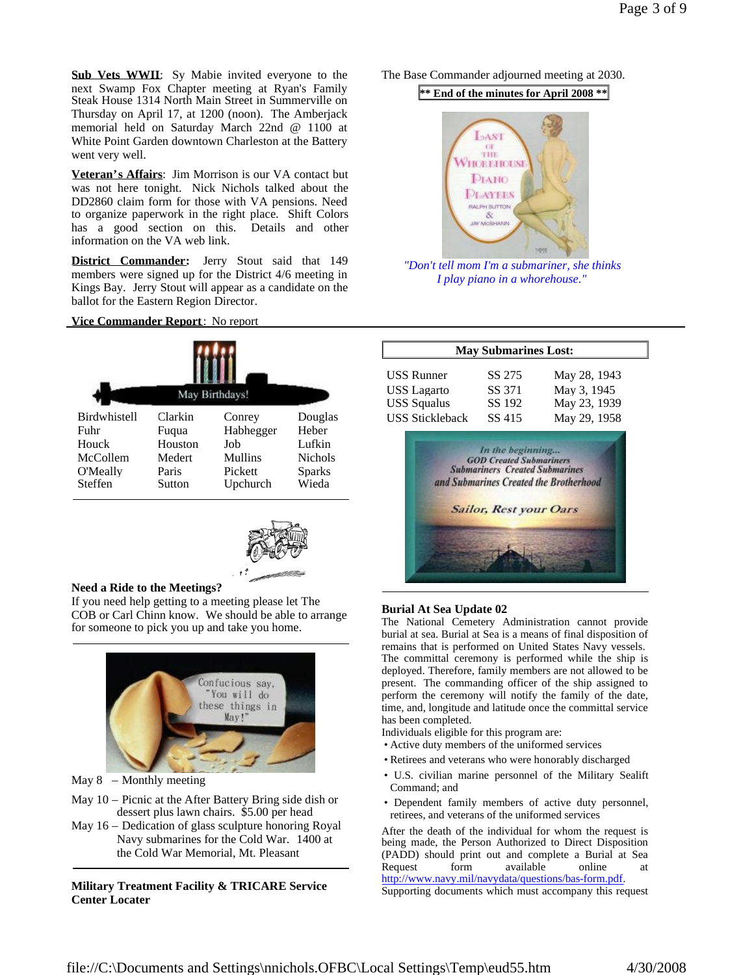**Sub Vets WWII**: Sy Mabie invited everyone to the next Swamp Fox Chapter meeting at Ryan's Family Steak House 1314 North Main Street in Summerville on Thursday on April 17, at 1200 (noon). The Amberjack memorial held on Saturday March 22nd @ 1100 at White Point Garden downtown Charleston at the Battery went very well.

**Veteran's Affairs**: Jim Morrison is our VA contact but was not here tonight. Nick Nichols talked about the DD2860 claim form for those with VA pensions. Need to organize paperwork in the right place. Shift Colors has a good section on this. Details and other information on the VA web link.

**District Commander:** Jerry Stout said that 149 members were signed up for the District 4/6 meeting in Kings Bay. Jerry Stout will appear as a candidate on the ballot for the Eastern Region Director.

### **Vice Commander Report**: No report





## **Need a Ride to the Meetings?**

If you need help getting to a meeting please let The COB or Carl Chinn know. We should be able to arrange for someone to pick you up and take you home.



May  $8$  – Monthly meeting

- May 10 Picnic at the After Battery Bring side dish or dessert plus lawn chairs. \$5.00 per head
- May 16 Dedication of glass sculpture honoring Royal Navy submarines for the Cold War. 1400 at the Cold War Memorial, Mt. Pleasant

## **Military Treatment Facility & TRICARE Service Center Locater**

The Base Commander adjourned meeting at 2030.

**\*\* End of the minutes for April 2008 \*\***



*"Don't tell mom I'm a submariner, she thinks I play piano in a whorehouse."*

| <b>May Submarines Lost:</b> |                               |                                        |  |  |
|-----------------------------|-------------------------------|----------------------------------------|--|--|
| USS Runner                  | SS 275                        | May 28, 1943                           |  |  |
| <b>USS</b> Lagarto          | SS 371                        | May 3, 1945                            |  |  |
| <b>USS Squalus</b>          | SS 192                        | May 23, 1939                           |  |  |
| USS Stickleback             | SS 415                        | May 29, 1958                           |  |  |
|                             | <b>Sailor, Rest your Oars</b> | and Submarines Created the Brotherhood |  |  |

## **Burial At Sea Update 02**

The National Cemetery Administration cannot provide burial at sea. Burial at Sea is a means of final disposition of remains that is performed on United States Navy vessels. The committal ceremony is performed while the ship is deployed. Therefore, family members are not allowed to be present. The commanding officer of the ship assigned to perform the ceremony will notify the family of the date, time, and, longitude and latitude once the committal service has been completed.

Individuals eligible for this program are:

- Active duty members of the uniformed services
- Retirees and veterans who were honorably discharged
- U.S. civilian marine personnel of the Military Sealift Command; and
- Dependent family members of active duty personnel, retirees, and veterans of the uniformed services

After the death of the individual for whom the request is being made, the Person Authorized to Direct Disposition (PADD) should print out and complete a Burial at Sea Request form available online http://www.navy.mil/navydata/questions/bas-form.pdf. Supporting documents which must accompany this request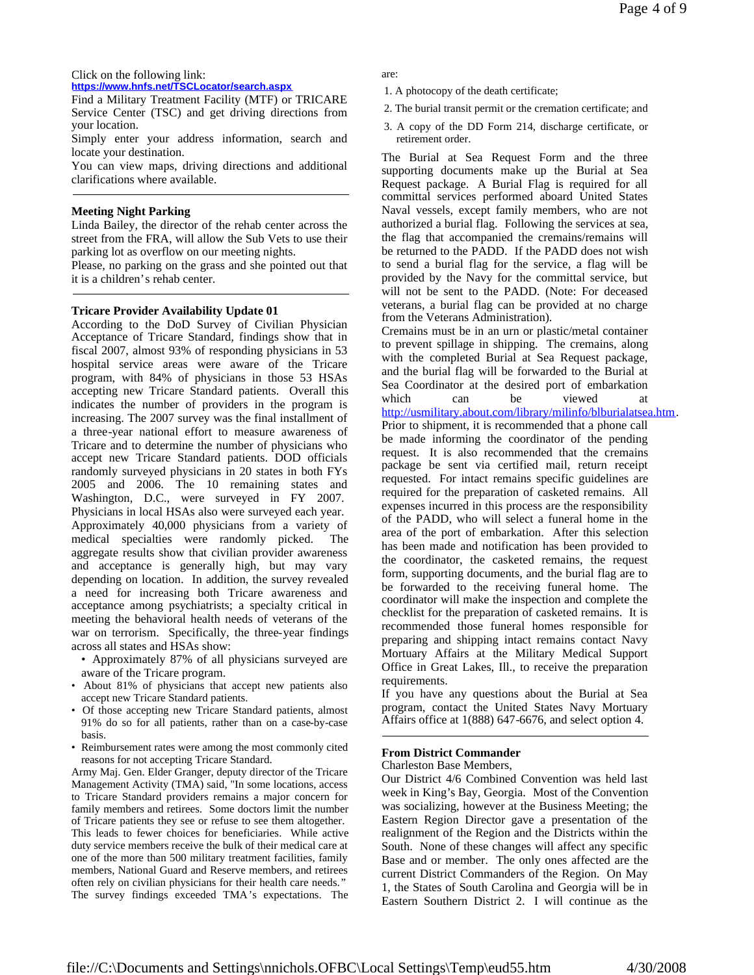### Click on the following link: **https://www.hnfs.net/TSCLocator/search.aspx**

Find a Military Treatment Facility (MTF) or TRICARE Service Center (TSC) and get driving directions from your location.

Simply enter your address information, search and locate your destination.

You can view maps, driving directions and additional clarifications where available.

# **Meeting Night Parking**

Linda Bailey, the director of the rehab center across the street from the FRA, will allow the Sub Vets to use their parking lot as overflow on our meeting nights.

Please, no parking on the grass and she pointed out that it is a children's rehab center.

# **Tricare Provider Availability Update 01**

According to the DoD Survey of Civilian Physician Acceptance of Tricare Standard, findings show that in fiscal 2007, almost 93% of responding physicians in 53 hospital service areas were aware of the Tricare program, with 84% of physicians in those 53 HSAs accepting new Tricare Standard patients. Overall this indicates the number of providers in the program is increasing. The 2007 survey was the final installment of a three-year national effort to measure awareness of Tricare and to determine the number of physicians who accept new Tricare Standard patients. DOD officials randomly surveyed physicians in 20 states in both FYs 2005 and 2006. The 10 remaining states and Washington, D.C., were surveyed in FY 2007. Physicians in local HSAs also were surveyed each year. Approximately 40,000 physicians from a variety of medical specialties were randomly picked. The aggregate results show that civilian provider awareness and acceptance is generally high, but may vary depending on location. In addition, the survey revealed a need for increasing both Tricare awareness and acceptance among psychiatrists; a specialty critical in meeting the behavioral health needs of veterans of the war on terrorism. Specifically, the three-year findings across all states and HSAs show:

- Approximately 87% of all physicians surveyed are aware of the Tricare program.
- About 81% of physicians that accept new patients also accept new Tricare Standard patients.
- Of those accepting new Tricare Standard patients, almost 91% do so for all patients, rather than on a case-by-case basis.
- Reimbursement rates were among the most commonly cited reasons for not accepting Tricare Standard.

Army Maj. Gen. Elder Granger, deputy director of the Tricare Management Activity (TMA) said, "In some locations, access to Tricare Standard providers remains a major concern for family members and retirees. Some doctors limit the number of Tricare patients they see or refuse to see them altogether. This leads to fewer choices for beneficiaries. While active duty service members receive the bulk of their medical care at one of the more than 500 military treatment facilities, family members, National Guard and Reserve members, and retirees often rely on civilian physicians for their health care needs." The survey findings exceeded TMA's expectations. The

are:

- 1. A photocopy of the death certificate;
- 2. The burial transit permit or the cremation certificate; and
- 3. A copy of the DD Form 214, discharge certificate, or retirement order.

The Burial at Sea Request Form and the three supporting documents make up the Burial at Sea Request package. A Burial Flag is required for all committal services performed aboard United States Naval vessels, except family members, who are not authorized a burial flag. Following the services at sea, the flag that accompanied the cremains/remains will be returned to the PADD. If the PADD does not wish to send a burial flag for the service, a flag will be provided by the Navy for the committal service, but will not be sent to the PADD. (Note: For deceased veterans, a burial flag can be provided at no charge from the Veterans Administration).

Cremains must be in an urn or plastic/metal container to prevent spillage in shipping. The cremains, along with the completed Burial at Sea Request package, and the burial flag will be forwarded to the Burial at Sea Coordinator at the desired port of embarkation which can be viewed at

http://usmilitary.about.com/library/milinfo/blburialatsea.htm.

Prior to shipment, it is recommended that a phone call be made informing the coordinator of the pending request. It is also recommended that the cremains package be sent via certified mail, return receipt requested. For intact remains specific guidelines are required for the preparation of casketed remains. All expenses incurred in this process are the responsibility of the PADD, who will select a funeral home in the area of the port of embarkation. After this selection has been made and notification has been provided to the coordinator, the casketed remains, the request form, supporting documents, and the burial flag are to be forwarded to the receiving funeral home. The coordinator will make the inspection and complete the checklist for the preparation of casketed remains. It is recommended those funeral homes responsible for preparing and shipping intact remains contact Navy Mortuary Affairs at the Military Medical Support Office in Great Lakes, Ill., to receive the preparation requirements.

If you have any questions about the Burial at Sea program, contact the United States Navy Mortuary Affairs office at 1(888) 647-6676, and select option 4.

# **From District Commander**

Charleston Base Members,

Our District 4/6 Combined Convention was held last week in King's Bay, Georgia. Most of the Convention was socializing, however at the Business Meeting; the Eastern Region Director gave a presentation of the realignment of the Region and the Districts within the South. None of these changes will affect any specific Base and or member. The only ones affected are the current District Commanders of the Region. On May 1, the States of South Carolina and Georgia will be in Eastern Southern District 2. I will continue as the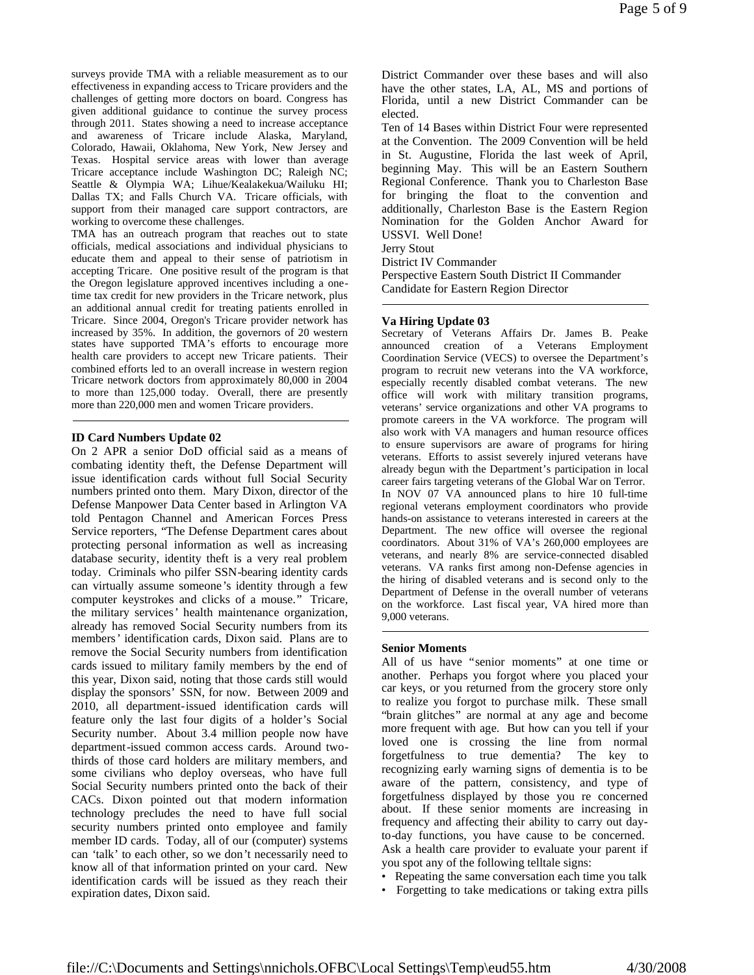surveys provide TMA with a reliable measurement as to our effectiveness in expanding access to Tricare providers and the challenges of getting more doctors on board. Congress has given additional guidance to continue the survey process through 2011. States showing a need to increase acceptance and awareness of Tricare include Alaska, Maryland, Colorado, Hawaii, Oklahoma, New York, New Jersey and Texas. Hospital service areas with lower than average Tricare acceptance include Washington DC; Raleigh NC; Seattle & Olympia WA; Lihue/Kealakekua/Wailuku HI; Dallas TX; and Falls Church VA. Tricare officials, with support from their managed care support contractors, are working to overcome these challenges.

TMA has an outreach program that reaches out to state officials, medical associations and individual physicians to educate them and appeal to their sense of patriotism in accepting Tricare. One positive result of the program is that the Oregon legislature approved incentives including a onetime tax credit for new providers in the Tricare network, plus an additional annual credit for treating patients enrolled in Tricare. Since 2004, Oregon's Tricare provider network has increased by 35%. In addition, the governors of 20 western states have supported TMA's efforts to encourage more health care providers to accept new Tricare patients. Their combined efforts led to an overall increase in western region Tricare network doctors from approximately 80,000 in 2004 to more than 125,000 today. Overall, there are presently more than 220,000 men and women Tricare providers.

### **ID Card Numbers Update 02**

On 2 APR a senior DoD official said as a means of combating identity theft, the Defense Department will issue identification cards without full Social Security numbers printed onto them. Mary Dixon, director of the Defense Manpower Data Center based in Arlington VA told Pentagon Channel and American Forces Press Service reporters, "The Defense Department cares about protecting personal information as well as increasing database security, identity theft is a very real problem today. Criminals who pilfer SSN-bearing identity cards can virtually assume someone's identity through a few computer keystrokes and clicks of a mouse." Tricare, the military services' health maintenance organization, already has removed Social Security numbers from its members' identification cards, Dixon said. Plans are to remove the Social Security numbers from identification cards issued to military family members by the end of this year, Dixon said, noting that those cards still would display the sponsors' SSN, for now. Between 2009 and 2010, all department-issued identification cards will feature only the last four digits of a holder's Social Security number. About 3.4 million people now have department-issued common access cards. Around twothirds of those card holders are military members, and some civilians who deploy overseas, who have full Social Security numbers printed onto the back of their CACs. Dixon pointed out that modern information technology precludes the need to have full social security numbers printed onto employee and family member ID cards. Today, all of our (computer) systems can 'talk' to each other, so we don't necessarily need to know all of that information printed on your card. New identification cards will be issued as they reach their expiration dates, Dixon said.

District Commander over these bases and will also have the other states, LA, AL, MS and portions of Florida, until a new District Commander can be elected.

Ten of 14 Bases within District Four were represented at the Convention. The 2009 Convention will be held in St. Augustine, Florida the last week of April, beginning May. This will be an Eastern Southern Regional Conference. Thank you to Charleston Base for bringing the float to the convention and additionally, Charleston Base is the Eastern Region Nomination for the Golden Anchor Award for USSVI. Well Done!

Jerry Stout

District IV Commander

Perspective Eastern South District II Commander Candidate for Eastern Region Director

### **Va Hiring Update 03**

Secretary of Veterans Affairs Dr. James B. Peake announced creation of a Veterans Employment Coordination Service (VECS) to oversee the Department's program to recruit new veterans into the VA workforce, especially recently disabled combat veterans. The new office will work with military transition programs, veterans' service organizations and other VA programs to promote careers in the VA workforce. The program will also work with VA managers and human resource offices to ensure supervisors are aware of programs for hiring veterans. Efforts to assist severely injured veterans have already begun with the Department's participation in local career fairs targeting veterans of the Global War on Terror. In NOV 07 VA announced plans to hire 10 full-time regional veterans employment coordinators who provide hands-on assistance to veterans interested in careers at the Department. The new office will oversee the regional coordinators. About 31% of VA's 260,000 employees are veterans, and nearly 8% are service-connected disabled veterans. VA ranks first among non-Defense agencies in the hiring of disabled veterans and is second only to the Department of Defense in the overall number of veterans on the workforce. Last fiscal year, VA hired more than 9,000 veterans.

## **Senior Moments**

All of us have "senior moments" at one time or another. Perhaps you forgot where you placed your car keys, or you returned from the grocery store only to realize you forgot to purchase milk. These small "brain glitches" are normal at any age and become more frequent with age. But how can you tell if your loved one is crossing the line from normal forgetfulness to true dementia? The key to recognizing early warning signs of dementia is to be aware of the pattern, consistency, and type of forgetfulness displayed by those you re concerned about. If these senior moments are increasing in frequency and affecting their ability to carry out dayto-day functions, you have cause to be concerned. Ask a health care provider to evaluate your parent if you spot any of the following telltale signs:

- Repeating the same conversation each time you talk
- Forgetting to take medications or taking extra pills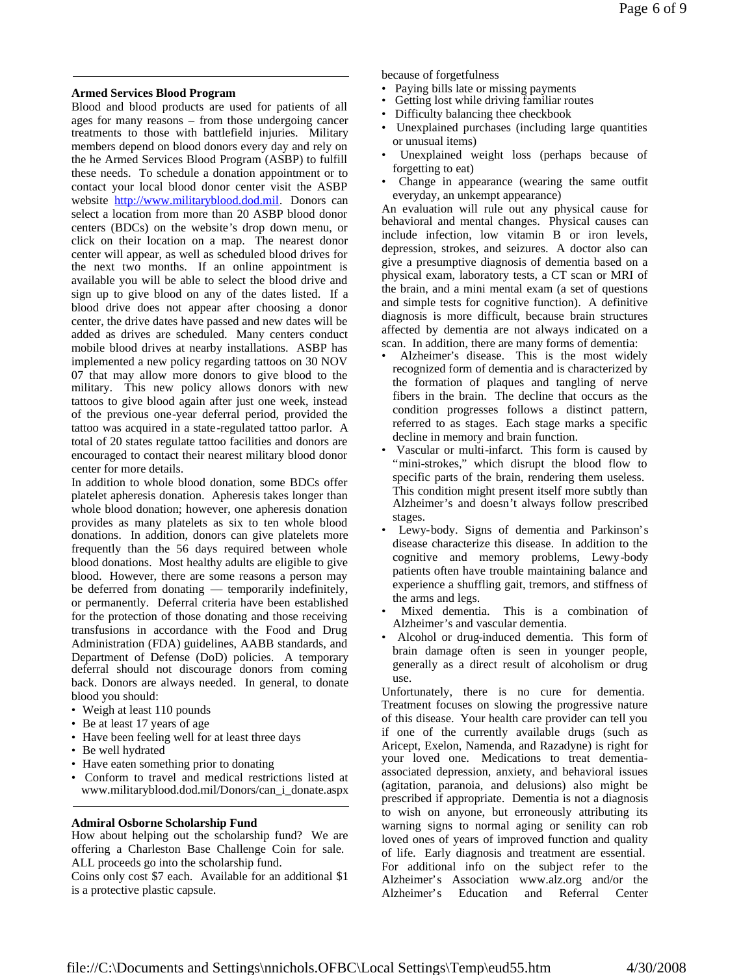# **Armed Services Blood Program**

Blood and blood products are used for patients of all ages for many reasons – from those undergoing cancer treatments to those with battlefield injuries. Military members depend on blood donors every day and rely on the he Armed Services Blood Program (ASBP) to fulfill these needs. To schedule a donation appointment or to contact your local blood donor center visit the ASBP website http://www.militaryblood.dod.mil. Donors can select a location from more than 20 ASBP blood donor centers (BDCs) on the website's drop down menu, or click on their location on a map. The nearest donor center will appear, as well as scheduled blood drives for the next two months. If an online appointment is available you will be able to select the blood drive and sign up to give blood on any of the dates listed. If a blood drive does not appear after choosing a donor center, the drive dates have passed and new dates will be added as drives are scheduled. Many centers conduct mobile blood drives at nearby installations. ASBP has implemented a new policy regarding tattoos on 30 NOV 07 that may allow more donors to give blood to the military. This new policy allows donors with new tattoos to give blood again after just one week, instead of the previous one-year deferral period, provided the tattoo was acquired in a state-regulated tattoo parlor. A total of 20 states regulate tattoo facilities and donors are encouraged to contact their nearest military blood donor center for more details.

In addition to whole blood donation, some BDCs offer platelet apheresis donation. Apheresis takes longer than whole blood donation; however, one apheresis donation provides as many platelets as six to ten whole blood donations. In addition, donors can give platelets more frequently than the 56 days required between whole blood donations. Most healthy adults are eligible to give blood. However, there are some reasons a person may be deferred from donating — temporarily indefinitely, or permanently. Deferral criteria have been established for the protection of those donating and those receiving transfusions in accordance with the Food and Drug Administration (FDA) guidelines, AABB standards, and Department of Defense (DoD) policies. A temporary deferral should not discourage donors from coming back. Donors are always needed. In general, to donate blood you should:

- Weigh at least 110 pounds
- Be at least 17 years of age
- Have been feeling well for at least three days
- Be well hydrated
- Have eaten something prior to donating
- Conform to travel and medical restrictions listed at www.militaryblood.dod.mil/Donors/can\_i\_donate.aspx

# **Admiral Osborne Scholarship Fund**

How about helping out the scholarship fund? We are offering a Charleston Base Challenge Coin for sale. ALL proceeds go into the scholarship fund.

Coins only cost \$7 each. Available for an additional \$1 is a protective plastic capsule.

because of forgetfulness

- Paying bills late or missing payments
- Getting lost while driving familiar routes
- Difficulty balancing thee checkbook
- Unexplained purchases (including large quantities or unusual items)
- Unexplained weight loss (perhaps because of forgetting to eat)
- Change in appearance (wearing the same outfit everyday, an unkempt appearance)

An evaluation will rule out any physical cause for behavioral and mental changes. Physical causes can include infection, low vitamin B or iron levels, depression, strokes, and seizures. A doctor also can give a presumptive diagnosis of dementia based on a physical exam, laboratory tests, a CT scan or MRI of the brain, and a mini mental exam (a set of questions and simple tests for cognitive function). A definitive diagnosis is more difficult, because brain structures affected by dementia are not always indicated on a scan. In addition, there are many forms of dementia:

- Alzheimer's disease. This is the most widely recognized form of dementia and is characterized by the formation of plaques and tangling of nerve fibers in the brain. The decline that occurs as the condition progresses follows a distinct pattern, referred to as stages. Each stage marks a specific decline in memory and brain function.
- Vascular or multi-infarct. This form is caused by "mini-strokes," which disrupt the blood flow to specific parts of the brain, rendering them useless. This condition might present itself more subtly than Alzheimer's and doesn't always follow prescribed stages.
- Lewy-body. Signs of dementia and Parkinson's disease characterize this disease. In addition to the cognitive and memory problems, Lewy-body patients often have trouble maintaining balance and experience a shuffling gait, tremors, and stiffness of the arms and legs.
- Mixed dementia. This is a combination of Alzheimer's and vascular dementia.
- Alcohol or drug-induced dementia. This form of brain damage often is seen in younger people, generally as a direct result of alcoholism or drug use.

Unfortunately, there is no cure for dementia. Treatment focuses on slowing the progressive nature of this disease. Your health care provider can tell you if one of the currently available drugs (such as Aricept, Exelon, Namenda, and Razadyne) is right for your loved one. Medications to treat dementiaassociated depression, anxiety, and behavioral issues (agitation, paranoia, and delusions) also might be prescribed if appropriate. Dementia is not a diagnosis to wish on anyone, but erroneously attributing its warning signs to normal aging or senility can rob loved ones of years of improved function and quality of life. Early diagnosis and treatment are essential. For additional info on the subject refer to the Alzheimer's Association www.alz.org and/or the Alzheimer's Education and Referral Center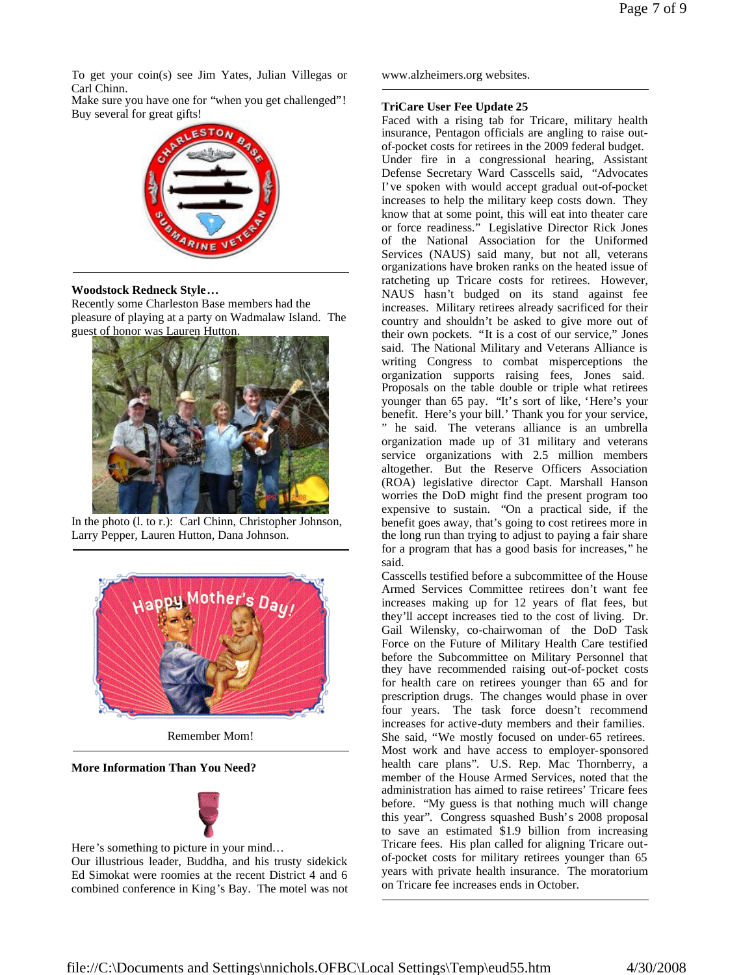To get your coin(s) see Jim Yates, Julian Villegas or Carl Chinn.

Make sure you have one for "when you get challenged"! Buy several for great gifts!



## **Woodstock Redneck Style…**

Recently some Charleston Base members had the pleasure of playing at a party on Wadmalaw Island. The guest of honor was Lauren Hutton.



In the photo (l. to r.): Carl Chinn, Christopher Johnson, Larry Pepper, Lauren Hutton, Dana Johnson.



Remember Mom!

## **More Information Than You Need?**



Here's something to picture in your mind… Our illustrious leader, Buddha, and his trusty sidekick Ed Simokat were roomies at the recent District 4 and 6 combined conference in King's Bay. The motel was not www.alzheimers.org websites.

## **TriCare User Fee Update 25**

Faced with a rising tab for Tricare, military health insurance, Pentagon officials are angling to raise outof-pocket costs for retirees in the 2009 federal budget. Under fire in a congressional hearing, Assistant Defense Secretary Ward Casscells said, "Advocates I've spoken with would accept gradual out-of-pocket increases to help the military keep costs down. They know that at some point, this will eat into theater care or force readiness." Legislative Director Rick Jones of the National Association for the Uniformed Services (NAUS) said many, but not all, veterans organizations have broken ranks on the heated issue of ratcheting up Tricare costs for retirees. However, NAUS hasn't budged on its stand against fee increases. Military retirees already sacrificed for their country and shouldn't be asked to give more out of their own pockets. "It is a cost of our service," Jones said. The National Military and Veterans Alliance is writing Congress to combat misperceptions the organization supports raising fees, Jones said. Proposals on the table double or triple what retirees younger than 65 pay. "It's sort of like, 'Here's your benefit. Here's your bill.' Thank you for your service, " he said. The veterans alliance is an umbrella organization made up of 31 military and veterans service organizations with 2.5 million members altogether. But the Reserve Officers Association (ROA) legislative director Capt. Marshall Hanson worries the DoD might find the present program too expensive to sustain. "On a practical side, if the benefit goes away, that's going to cost retirees more in the long run than trying to adjust to paying a fair share for a program that has a good basis for increases," he said.

Casscells testified before a subcommittee of the House Armed Services Committee retirees don't want fee increases making up for 12 years of flat fees, but they'll accept increases tied to the cost of living. Dr. Gail Wilensky, co-chairwoman of the DoD Task Force on the Future of Military Health Care testified before the Subcommittee on Military Personnel that they have recommended raising out-of-pocket costs for health care on retirees younger than 65 and for prescription drugs. The changes would phase in over four years. The task force doesn't recommend increases for active-duty members and their families. She said, "We mostly focused on under-65 retirees. Most work and have access to employer-sponsored health care plans". U.S. Rep. Mac Thornberry, a member of the House Armed Services, noted that the administration has aimed to raise retirees' Tricare fees before. "My guess is that nothing much will change this year". Congress squashed Bush's 2008 proposal to save an estimated \$1.9 billion from increasing Tricare fees. His plan called for aligning Tricare outof-pocket costs for military retirees younger than 65 years with private health insurance. The moratorium on Tricare fee increases ends in October.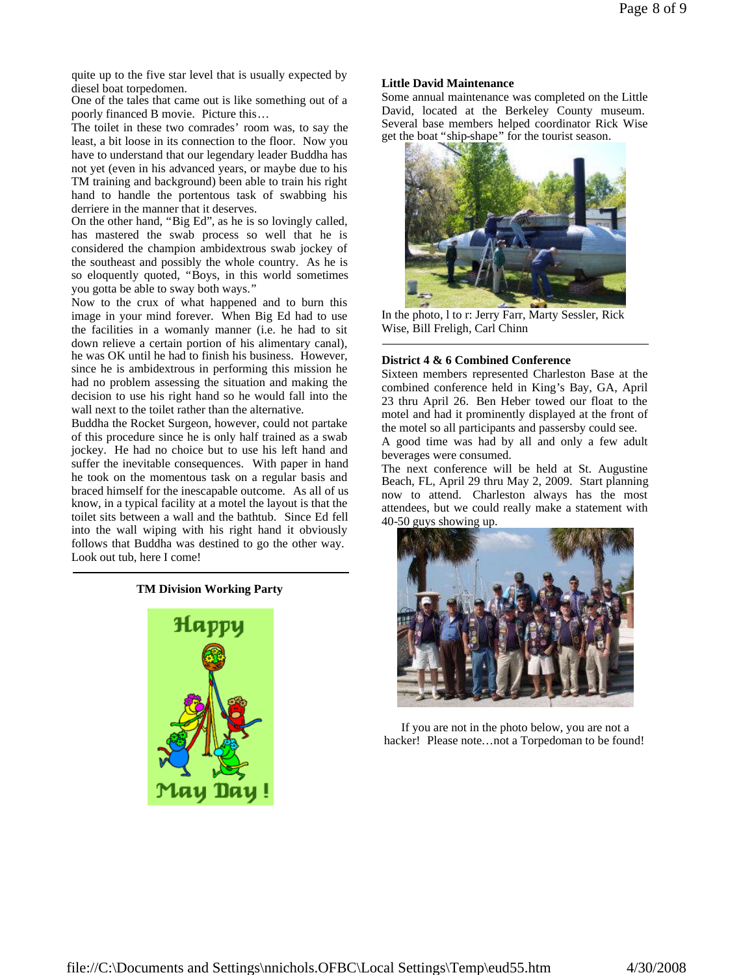quite up to the five star level that is usually expected by diesel boat torpedomen.

One of the tales that came out is like something out of a poorly financed B movie. Picture this…

The toilet in these two comrades' room was, to say the least, a bit loose in its connection to the floor. Now you have to understand that our legendary leader Buddha has not yet (even in his advanced years, or maybe due to his TM training and background) been able to train his right hand to handle the portentous task of swabbing his derriere in the manner that it deserves.

On the other hand, "Big Ed", as he is so lovingly called, has mastered the swab process so well that he is considered the champion ambidextrous swab jockey of the southeast and possibly the whole country. As he is so eloquently quoted, "Boys, in this world sometimes you gotta be able to sway both ways."

Now to the crux of what happened and to burn this image in your mind forever. When Big Ed had to use the facilities in a womanly manner (i.e. he had to sit down relieve a certain portion of his alimentary canal), he was OK until he had to finish his business. However, since he is ambidextrous in performing this mission he had no problem assessing the situation and making the decision to use his right hand so he would fall into the wall next to the toilet rather than the alternative.

Buddha the Rocket Surgeon, however, could not partake of this procedure since he is only half trained as a swab jockey. He had no choice but to use his left hand and suffer the inevitable consequences. With paper in hand he took on the momentous task on a regular basis and braced himself for the inescapable outcome. As all of us know, in a typical facility at a motel the layout is that the toilet sits between a wall and the bathtub. Since Ed fell into the wall wiping with his right hand it obviously follows that Buddha was destined to go the other way. Look out tub, here I come!

## **TM Division Working Party**



### **Little David Maintenance**

Some annual maintenance was completed on the Little David, located at the Berkeley County museum. Several base members helped coordinator Rick Wise get the boat "ship-shape" for the tourist season.



In the photo, l to r: Jerry Farr, Marty Sessler, Rick Wise, Bill Freligh, Carl Chinn

### **District 4 & 6 Combined Conference**

Sixteen members represented Charleston Base at the combined conference held in King's Bay, GA, April 23 thru April 26. Ben Heber towed our float to the motel and had it prominently displayed at the front of the motel so all participants and passersby could see.

A good time was had by all and only a few adult beverages were consumed.

The next conference will be held at St. Augustine Beach, FL, April 29 thru May 2, 2009. Start planning now to attend. Charleston always has the most attendees, but we could really make a statement with 40-50 guys showing up.



If you are not in the photo below, you are not a hacker! Please note...not a Torpedoman to be found!